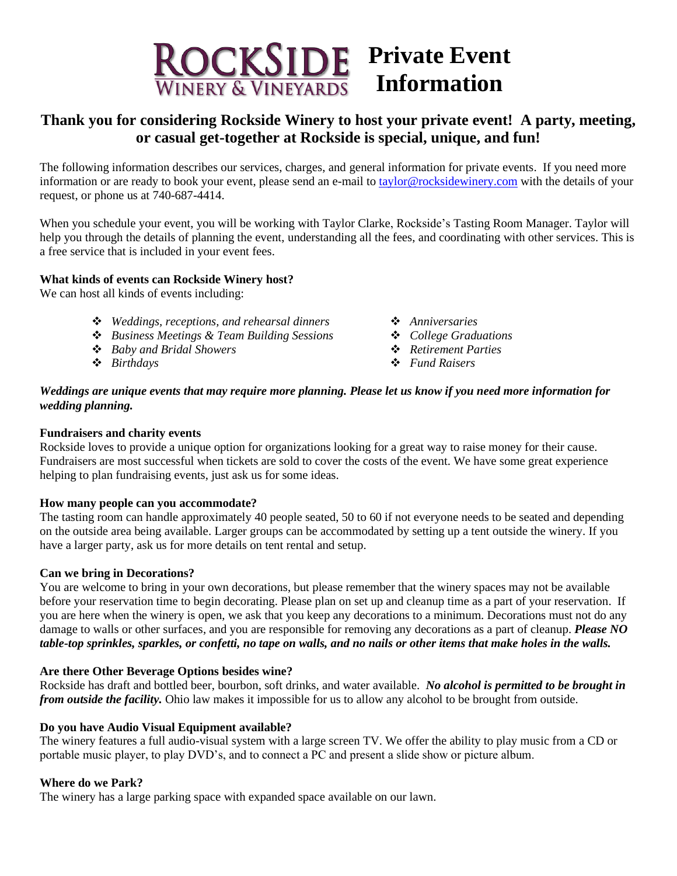

# **Thank you for considering Rockside Winery to host your private event! A party, meeting, or casual get-together at Rockside is special, unique, and fun!**

The following information describes our services, charges, and general information for private events. If you need more information or are ready to book your event, please send an e-mail to **taylor@rocksidewinery.com** with the details of your request, or phone us at 740-687-4414.

When you schedule your event, you will be working with Taylor Clarke, Rockside's Tasting Room Manager. Taylor will help you through the details of planning the event, understanding all the fees, and coordinating with other services. This is a free service that is included in your event fees.

# **What kinds of events can Rockside Winery host?**

We can host all kinds of events including:

- ❖ *Weddings, receptions, and rehearsal dinners* ❖ *Anniversaries*
- ❖ *Business Meetings & Team Building Sessions* ❖ *College Graduations*
- ❖ *Baby and Bridal Showers* ❖ *Retirement Parties*
- 
- 
- 
- 
- ❖ *Birthdays* ❖ *Fund Raisers*

#### *Weddings are unique events that may require more planning. Please let us know if you need more information for wedding planning.*

#### **Fundraisers and charity events**

Rockside loves to provide a unique option for organizations looking for a great way to raise money for their cause. Fundraisers are most successful when tickets are sold to cover the costs of the event. We have some great experience helping to plan fundraising events, just ask us for some ideas.

#### **How many people can you accommodate?**

The tasting room can handle approximately 40 people seated, 50 to 60 if not everyone needs to be seated and depending on the outside area being available. Larger groups can be accommodated by setting up a tent outside the winery. If you have a larger party, ask us for more details on tent rental and setup.

#### **Can we bring in Decorations?**

You are welcome to bring in your own decorations, but please remember that the winery spaces may not be available before your reservation time to begin decorating. Please plan on set up and cleanup time as a part of your reservation. If you are here when the winery is open, we ask that you keep any decorations to a minimum. Decorations must not do any damage to walls or other surfaces, and you are responsible for removing any decorations as a part of cleanup. *Please NO table-top sprinkles, sparkles, or confetti, no tape on walls, and no nails or other items that make holes in the walls.*

#### **Are there Other Beverage Options besides wine?**

Rockside has draft and bottled beer, bourbon, soft drinks, and water available. *No alcohol is permitted to be brought in from outside the facility.* Ohio law makes it impossible for us to allow any alcohol to be brought from outside.

#### **Do you have Audio Visual Equipment available?**

The winery features a full audio-visual system with a large screen TV. We offer the ability to play music from a CD or portable music player, to play DVD's, and to connect a PC and present a slide show or picture album.

#### **Where do we Park?**

The winery has a large parking space with expanded space available on our lawn.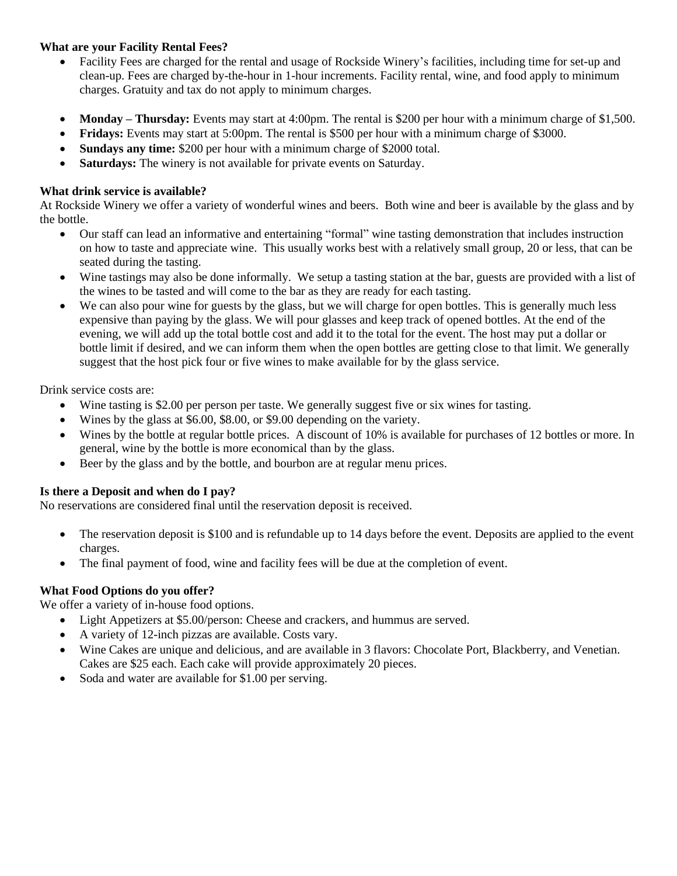# **What are your Facility Rental Fees?**

- Facility Fees are charged for the rental and usage of Rockside Winery's facilities, including time for set-up and clean-up. Fees are charged by-the-hour in 1-hour increments. Facility rental, wine, and food apply to minimum charges. Gratuity and tax do not apply to minimum charges.
- **Monday Thursday:** Events may start at 4:00pm. The rental is \$200 per hour with a minimum charge of \$1,500.
- **Fridays:** Events may start at 5:00pm. The rental is \$500 per hour with a minimum charge of \$3000.
- **Sundays any time:** \$200 per hour with a minimum charge of \$2000 total.
- **Saturdays:** The winery is not available for private events on Saturday.

# **What drink service is available?**

At Rockside Winery we offer a variety of wonderful wines and beers. Both wine and beer is available by the glass and by the bottle.

- Our staff can lead an informative and entertaining "formal" wine tasting demonstration that includes instruction on how to taste and appreciate wine. This usually works best with a relatively small group, 20 or less, that can be seated during the tasting.
- Wine tastings may also be done informally. We setup a tasting station at the bar, guests are provided with a list of the wines to be tasted and will come to the bar as they are ready for each tasting.
- We can also pour wine for guests by the glass, but we will charge for open bottles. This is generally much less expensive than paying by the glass. We will pour glasses and keep track of opened bottles. At the end of the evening, we will add up the total bottle cost and add it to the total for the event. The host may put a dollar or bottle limit if desired, and we can inform them when the open bottles are getting close to that limit. We generally suggest that the host pick four or five wines to make available for by the glass service.

Drink service costs are:

- Wine tasting is \$2.00 per person per taste. We generally suggest five or six wines for tasting.
- Wines by the glass at \$6.00, \$8.00, or \$9.00 depending on the variety.
- Wines by the bottle at regular bottle prices. A discount of 10% is available for purchases of 12 bottles or more. In general, wine by the bottle is more economical than by the glass.
- Beer by the glass and by the bottle, and bourbon are at regular menu prices.

# **Is there a Deposit and when do I pay?**

No reservations are considered final until the reservation deposit is received.

- The reservation deposit is \$100 and is refundable up to 14 days before the event. Deposits are applied to the event charges.
- The final payment of food, wine and facility fees will be due at the completion of event.

# **What Food Options do you offer?**

We offer a variety of in-house food options.

- Light Appetizers at \$5.00/person: Cheese and crackers, and hummus are served.
- A variety of 12-inch pizzas are available. Costs vary.
- Wine Cakes are unique and delicious, and are available in 3 flavors: Chocolate Port, Blackberry, and Venetian. Cakes are \$25 each. Each cake will provide approximately 20 pieces.
- Soda and water are available for \$1.00 per serving.